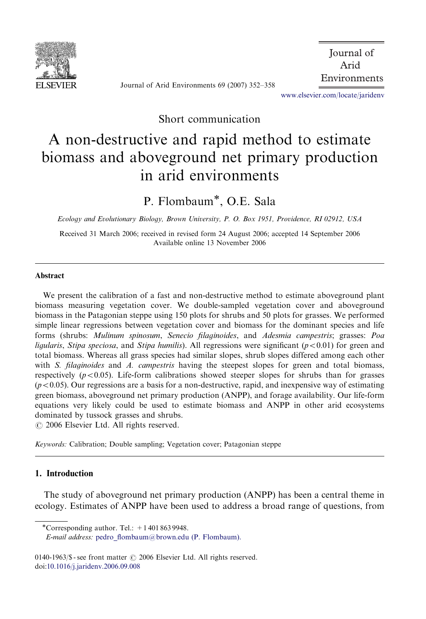

Journal of Arid Environments 69 (2007) 352–358

 Journal of Arid Environments

[www.elsevier.com/locate/jaridenv](www.elsevier.com/locate/jnlabr/yjare)

Short communication

# A non-destructive and rapid method to estimate biomass and aboveground net primary production in arid environments

P. Flombaum<sup>\*</sup>, O.E. Sala

Ecology and Evolutionary Biology, Brown University, P. O. Box 1951, Providence, RI 02912, USA

Received 31 March 2006; received in revised form 24 August 2006; accepted 14 September 2006 Available online 13 November 2006

#### Abstract

We present the calibration of a fast and non-destructive method to estimate aboveground plant biomass measuring vegetation cover. We double-sampled vegetation cover and aboveground biomass in the Patagonian steppe using 150 plots for shrubs and 50 plots for grasses. We performed simple linear regressions between vegetation cover and biomass for the dominant species and life forms (shrubs: Mulinum spinosum, Senecio filaginoides, and Adesmia campestris; grasses: Poa ligularis, Stipa speciosa, and Stipa humilis). All regressions were significant ( $p < 0.01$ ) for green and total biomass. Whereas all grass species had similar slopes, shrub slopes differed among each other with S. *filaginoides* and A. *campestris* having the steepest slopes for green and total biomass, respectively  $(p<0.05)$ . Life-form calibrations showed steeper slopes for shrubs than for grasses  $(p<0.05)$ . Our regressions are a basis for a non-destructive, rapid, and inexpensive way of estimating green biomass, aboveground net primary production (ANPP), and forage availability. Our life-form equations very likely could be used to estimate biomass and ANPP in other arid ecosystems dominated by tussock grasses and shrubs.

 $O$  2006 Elsevier Ltd. All rights reserved.

Keywords: Calibration; Double sampling; Vegetation cover; Patagonian steppe

## 1. Introduction

The study of aboveground net primary production (ANPP) has been a central theme in ecology. Estimates of ANPP have been used to address a broad range of questions, from

\*Corresponding author. Tel.:  $+14018639948$ .

E-mail address: [pedro\\_flombaum@brown.edu \(P. Flombaum\).](mailto:pedro_flombaum@brown.edu)

0140-1963/\$ - see front matter  $\odot$  2006 Elsevier Ltd. All rights reserved. doi[:10.1016/j.jaridenv.2006.09.008](dx.doi.org/10.1016/j.jaridenv.2006.09.008)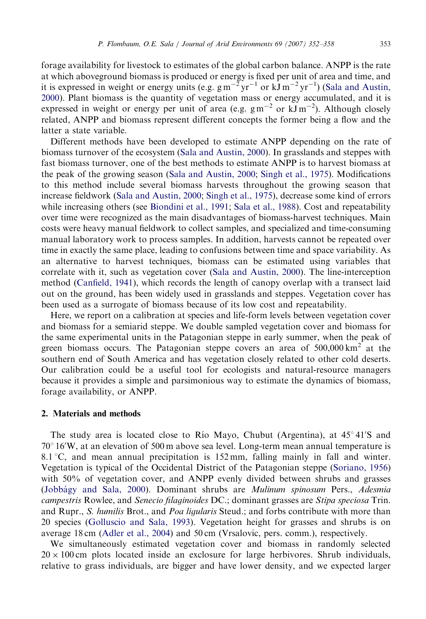forage availability for livestock to estimates of the global carbon balance. ANPP is the rate at which aboveground biomass is produced or energy is fixed per unit of area and time, and it is expressed in weight or energy units (e.g.  $gm^{-2}yr^{-1}$  or  $kJ\,m^{-2}yr^{-1}$ ) ([Sala and Austin,](#page-6-0) [2000](#page-6-0)). Plant biomass is the quantity of vegetation mass or energy accumulated, and it is expressed in weight or energy per unit of area (e.g.  $gm^{-2}$  or  $kJ\,m^{-2}$ ). Although closely related, ANPP and biomass represent different concepts the former being a flow and the latter a state variable.

Different methods have been developed to estimate ANPP depending on the rate of biomass turnover of the ecosystem [\(Sala and Austin, 2000](#page-6-0)). In grasslands and steppes with fast biomass turnover, one of the best methods to estimate ANPP is to harvest biomass at the peak of the growing season ([Sala and Austin, 2000;](#page-6-0) [Singh et al., 1975\)](#page-6-0). Modifications to this method include several biomass harvests throughout the growing season that increase fieldwork ([Sala and Austin, 2000](#page-6-0); [Singh et al., 1975](#page-6-0)), decrease some kind of errors while increasing others (see [Biondini et al., 1991](#page-6-0); [Sala et al., 1988](#page-6-0)). Cost and repeatability over time were recognized as the main disadvantages of biomass-harvest techniques. Main costs were heavy manual fieldwork to collect samples, and specialized and time-consuming manual laboratory work to process samples. In addition, harvests cannot be repeated over time in exactly the same place, leading to confusions between time and space variability. As an alternative to harvest techniques, biomass can be estimated using variables that correlate with it, such as vegetation cover ([Sala and Austin, 2000\)](#page-6-0). The line-interception method [\(Canfield, 1941](#page-6-0)), which records the length of canopy overlap with a transect laid out on the ground, has been widely used in grasslands and steppes. Vegetation cover has been used as a surrogate of biomass because of its low cost and repeatability.

Here, we report on a calibration at species and life-form levels between vegetation cover and biomass for a semiarid steppe. We double sampled vegetation cover and biomass for the same experimental units in the Patagonian steppe in early summer, when the peak of green biomass occurs. The Patagonian steppe covers an area of  $500,000 \text{ km}^2$  at the southern end of South America and has vegetation closely related to other cold deserts. Our calibration could be a useful tool for ecologists and natural-resource managers because it provides a simple and parsimonious way to estimate the dynamics of biomass, forage availability, or ANPP.

## 2. Materials and methods

The study area is located close to Río Mayo, Chubut (Argentina), at 45°41'S and 70° 16'W, at an elevation of 500 m above sea level. Long-term mean annual temperature is 8.1 °C, and mean annual precipitation is  $152 \text{ mm}$ , falling mainly in fall and winter. Vegetation is typical of the Occidental District of the Patagonian steppe [\(Soriano, 1956](#page-6-0)) with 50% of vegetation cover, and ANPP evenly divided between shrubs and grasses ([Jobba´gy and Sala, 2000\)](#page-6-0). Dominant shrubs are Mulinum spinosum Pers., Adesmia campestris Rowlee, and Senecio filaginoides DC.; dominant grasses are Stipa speciosa Trin. and Rupr., S. humilis Brot., and Poa ligularis Steud.; and forbs contribute with more than 20 species [\(Golluscio and Sala, 1993](#page-6-0)). Vegetation height for grasses and shrubs is on average 18 cm [\(Adler et al., 2004\)](#page-6-0) and 50 cm (Vrsalovic, pers. comm.), respectively.

We simultaneously estimated vegetation cover and biomass in randomly selected  $20 \times 100$  cm plots located inside an exclosure for large herbivores. Shrub individuals, relative to grass individuals, are bigger and have lower density, and we expected larger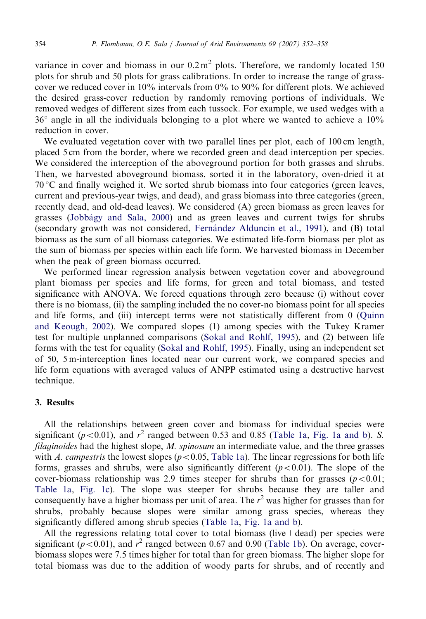variance in cover and biomass in our  $0.2 \text{ m}^2$  plots. Therefore, we randomly located 150 plots for shrub and 50 plots for grass calibrations. In order to increase the range of grasscover we reduced cover in 10% intervals from 0% to 90% for different plots. We achieved the desired grass-cover reduction by randomly removing portions of individuals. We removed wedges of different sizes from each tussock. For example, we used wedges with a  $36^{\circ}$  angle in all the individuals belonging to a plot where we wanted to achieve a  $10\%$ reduction in cover.

We evaluated vegetation cover with two parallel lines per plot, each of 100 cm length, placed 5 cm from the border, where we recorded green and dead interception per species. We considered the interception of the aboveground portion for both grasses and shrubs. Then, we harvested aboveground biomass, sorted it in the laboratory, oven-dried it at  $70^{\circ}$ C and finally weighed it. We sorted shrub biomass into four categories (green leaves, current and previous-year twigs, and dead), and grass biomass into three categories (green, recently dead, and old-dead leaves). We considered (A) green biomass as green leaves for grasses ([Jobba´gy and Sala, 2000](#page-6-0)) and as green leaves and current twigs for shrubs (secondary growth was not considered, Fernández Alduncin et al., 1991), and (B) total biomass as the sum of all biomass categories. We estimated life-form biomass per plot as the sum of biomass per species within each life form. We harvested biomass in December when the peak of green biomass occurred.

We performed linear regression analysis between vegetation cover and aboveground plant biomass per species and life forms, for green and total biomass, and tested significance with ANOVA. We forced equations through zero because (i) without cover there is no biomass, (ii) the sampling included the no cover-no biomass point for all species and life forms, and (iii) intercept terms were not statistically different from 0 [\(Quinn](#page-6-0) [and Keough, 2002](#page-6-0)). We compared slopes (1) among species with the Tukey–Kramer test for multiple unplanned comparisons [\(Sokal and Rohlf, 1995](#page-6-0)), and (2) between life forms with the test for equality ([Sokal and Rohlf, 1995\)](#page-6-0). Finally, using an independent set of 50, 5 m-interception lines located near our current work, we compared species and life form equations with averaged values of ANPP estimated using a destructive harvest technique.

## 3. Results

All the relationships between green cover and biomass for individual species were significant ( $p < 0.01$ ), and  $r<sup>2</sup>$  ranged between 0.53 and 0.85 ([Table 1a](#page-3-0), [Fig. 1a and b\)](#page-4-0). S. *filaginoides* had the highest slope,  $M$ . *spinosum* an intermediate value, and the three grasses with A. campestris the lowest slopes ( $p < 0.05$ , [Table 1a\)](#page-3-0). The linear regressions for both life forms, grasses and shrubs, were also significantly different  $(p<0.01)$ . The slope of the cover-biomass relationship was 2.9 times steeper for shrubs than for grasses  $(p<0.01;$ [Table 1a,](#page-3-0) [Fig. 1c](#page-4-0)). The slope was steeper for shrubs because they are taller and consequently have a higher biomass per unit of area. The  $r<sup>2</sup>$  was higher for grasses than for shrubs, probably because slopes were similar among grass species, whereas they significantly differed among shrub species ([Table 1a](#page-3-0), [Fig. 1a and b\)](#page-4-0).

All the regressions relating total cover to total biomass (live  $+$  dead) per species were significant ( $p < 0.01$ ), and  $r^2$  ranged between 0.67 and 0.90 [\(Table 1b\)](#page-3-0). On average, coverbiomass slopes were 7.5 times higher for total than for green biomass. The higher slope for total biomass was due to the addition of woody parts for shrubs, and of recently and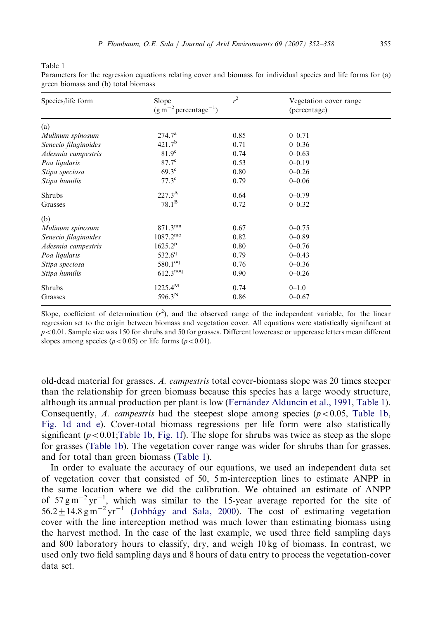<span id="page-3-0"></span>Table 1

Species/life form Slope  $(g \text{ m}^{-2} \text{ percentage}^{-1})$  $\cdot$ <sup>2</sup> Vegetation cover range (percentage) (a) *Mulinum spinosum* 274.7<sup>a</sup> 0.85 0–0.71 Senecio filaginoides  $421.7^b$  0.71 0–0.36<br>Adesmia campestris  $81.9^c$  0.74 0–0.63 Adesmia campestris  $81.9^{\circ}$   $0.74$   $0-0.63$ Poa ligularis  $87.7^{\circ}$  0.53 0–0.19  $Stipa\ species a$  69.3<sup>c</sup> 0.80 0–0.26<br> $Stipa\ humilis$  77.3<sup>c</sup> 0.79 0–0.06  $Stipa$  humilis  $77.3^{\circ}$   $0.79$   $0-0.06$ Shrubs  $227.3^{\text{A}}$  0.64 0–0.79 Grasses  $78.1^B$  0.72 0–0.32 (b) *Mulinum spinosum* 871.3<sup>mn</sup> 0.67 0–0.75<br> *Senecio filaginoides* 1087.2<sup>mo</sup> 0.82 0–0.89 Senecio filaginoides  $1087.2^{\text{mo}}$   $0.82$   $0-0.89$ Adesmia campestris  $1625.2^p$  0.80 0–0.76 *Poa ligularis*  $532.6^{q}$  0.79 0–0.43<br> *Stipa speciosa* 580.1<sup>oq</sup> 0.76 0–0.36 Stipa speciosa 580.1<sup>oq</sup> 0.76<br>
Stipa humilis 612.3<sup>noq</sup> 0.90 Stipa humilis  $612.3^{n\circ q}$   $0.90$   $0-0.26$ Shrubs  $1225.4^M$  0.74 0–1.0 Grasses  $596.3^N$  0.86 0–0.67

Parameters for the regression equations relating cover and biomass for individual species and life forms for (a) green biomass and (b) total biomass

Slope, coefficient of determination  $(r^2)$ , and the observed range of the independent variable, for the linear regression set to the origin between biomass and vegetation cover. All equations were statistically significant at  $p<0.01$ . Sample size was 150 for shrubs and 50 for grasses. Different lowercase or uppercase letters mean different slopes among species ( $p < 0.05$ ) or life forms ( $p < 0.01$ ).

old-dead material for grasses. A. campestris total cover-biomass slope was 20 times steeper than the relationship for green biomass because this species has a large woody structure, although its annual production per plant is low ([Ferna´ndez Alduncin et al., 1991](#page-6-0), Table 1). Consequently, A. campestris had the steepest slope among species ( $p < 0.05$ , Table 1b, [Fig. 1d and e](#page-4-0)). Cover-total biomass regressions per life form were also statistically significant ( $p < 0.01$ ;Table 1b, [Fig. 1f](#page-4-0)). The slope for shrubs was twice as steep as the slope for grasses (Table 1b). The vegetation cover range was wider for shrubs than for grasses, and for total than green biomass (Table 1).

In order to evaluate the accuracy of our equations, we used an independent data set of vegetation cover that consisted of 50,  $5 \text{ m-interception lines}$  to estimate ANPP in the same location where we did the calibration. We obtained an estimate of ANPP of  $57 \text{ g m}^{-2} \text{ yr}^{-1}$ , which was similar to the 15-year average reported for the site of  $56.2 \pm 14.8$  g m<sup>-2</sup> yr<sup>-1</sup> (Jobbágy and Sala, 2000). The cost of estimating vegetation cover with the line interception method was much lower than estimating biomass using the harvest method. In the case of the last example, we used three field sampling days and 800 laboratory hours to classify, dry, and weigh 10 kg of biomass. In contrast, we used only two field sampling days and 8 hours of data entry to process the vegetation-cover data set.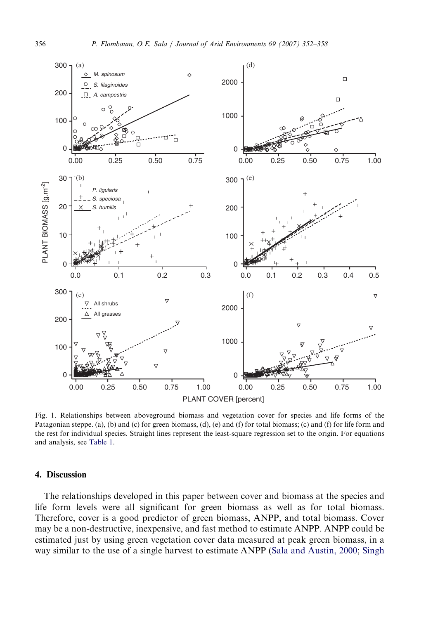<span id="page-4-0"></span>

Fig. 1. Relationships between aboveground biomass and vegetation cover for species and life forms of the Patagonian steppe. (a), (b) and (c) for green biomass, (d), (e) and (f) for total biomass; (c) and (f) for life form and the rest for individual species. Straight lines represent the least-square regression set to the origin. For equations and analysis, see [Table 1.](#page-3-0)

## 4. Discussion

The relationships developed in this paper between cover and biomass at the species and life form levels were all significant for green biomass as well as for total biomass. Therefore, cover is a good predictor of green biomass, ANPP, and total biomass. Cover may be a non-destructive, inexpensive, and fast method to estimate ANPP. ANPP could be estimated just by using green vegetation cover data measured at peak green biomass, in a way similar to the use of a single harvest to estimate ANPP ([Sala and Austin, 2000;](#page-6-0) [Singh](#page-6-0)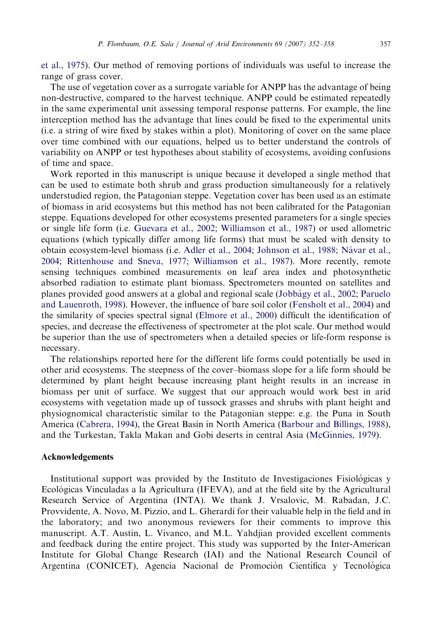[et al., 1975](#page-6-0)). Our method of removing portions of individuals was useful to increase the range of grass cover.

The use of vegetation cover as a surrogate variable for ANPP has the advantage of being non-destructive, compared to the harvest technique. ANPP could be estimated repeatedly in the same experimental unit assessing temporal response patterns. For example, the line interception method has the advantage that lines could be fixed to the experimental units (i.e. a string of wire fixed by stakes within a plot). Monitoring of cover on the same place over time combined with our equations, helped us to better understand the controls of variability on ANPP or test hypotheses about stability of ecosystems, avoiding confusions of time and space.

Work reported in this manuscript is unique because it developed a single method that can be used to estimate both shrub and grass production simultaneously for a relatively understudied region, the Patagonian steppe. Vegetation cover has been used as an estimate of biomass in arid ecosystems but this method has not been calibrated for the Patagonian steppe. Equations developed for other ecosystems presented parameters for a single species or single life form (i.e. [Guevara et al., 2002](#page-6-0); [Williamson et al., 1987](#page-6-0)) or used allometric equations (which typically differ among life forms) that must be scaled with density to obtain ecosystem-level biomass (i.e. [Adler et al., 2004;](#page-6-0) [Johnson et al., 1988;](#page-6-0) Návar et al., [2004](#page-6-0); [Rittenhouse and Sneva, 1977;](#page-6-0) [Williamson et al., 1987](#page-6-0)). More recently, remote sensing techniques combined measurements on leaf area index and photosynthetic absorbed radiation to estimate plant biomass. Spectrometers mounted on satellites and planes provided good answers at a global and regional scale [\(Jobba´gy et al., 2002](#page-6-0); [Paruelo](#page-6-0) [and Lauenroth, 1998\)](#page-6-0). However, the influence of bare soil color [\(Fensholt et al., 2004](#page-6-0)) and the similarity of species spectral signal [\(Elmore et al., 2000\)](#page-6-0) difficult the identification of species, and decrease the effectiveness of spectrometer at the plot scale. Our method would be superior than the use of spectrometers when a detailed species or life-form response is necessary.

The relationships reported here for the different life forms could potentially be used in other arid ecosystems. The steepness of the cover–biomass slope for a life form should be determined by plant height because increasing plant height results in an increase in biomass per unit of surface. We suggest that our approach would work best in arid ecosystems with vegetation made up of tussock grasses and shrubs with plant height and physiognomical characteristic similar to the Patagonian steppe: e.g. the Puna in South America ([Cabrera, 1994\)](#page-6-0), the Great Basin in North America ([Barbour and Billings, 1988](#page-6-0)), and the Turkestan, Takla Makan and Gobi deserts in central Asia [\(McGinnies, 1979](#page-6-0)).

#### Acknowledgements

Institutional support was provided by the Instituto de Investigaciones Fisiológicas y Ecolo´gicas Vinculadas a la Agricultura (IFEVA), and at the field site by the Agricultural Research Service of Argentina (INTA). We thank J. Vrsalovic, M. Rabadan, J.C. Provvidente, A. Novo, M. Pizzio, and L. Gherardi for their valuable help in the field and in the laboratory; and two anonymous reviewers for their comments to improve this manuscript. A.T. Austin, L. Vivanco, and M.L. Yahdjian provided excellent comments and feedback during the entire project. This study was supported by the Inter-American Institute for Global Change Research (IAI) and the National Research Council of Argentina (CONICET), Agencia Nacional de Promoción Científica y Tecnológica